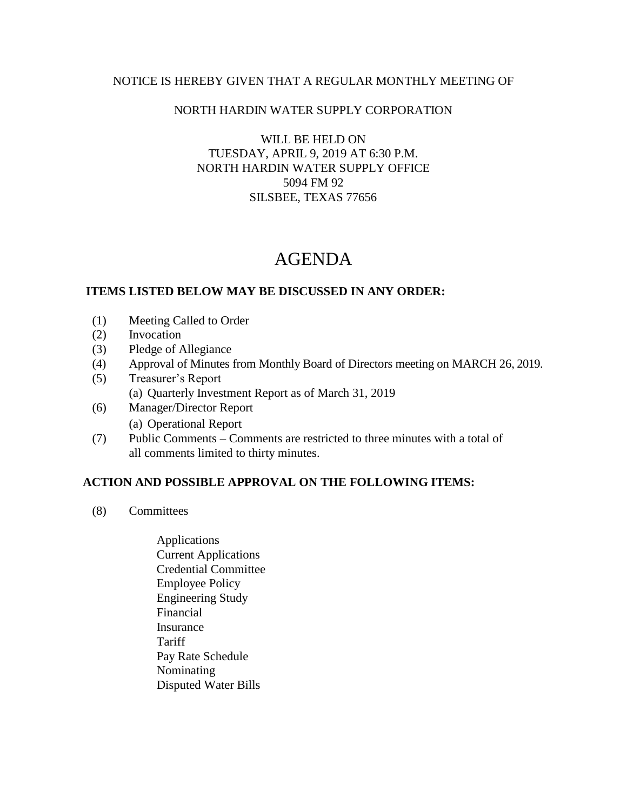### NOTICE IS HEREBY GIVEN THAT A REGULAR MONTHLY MEETING OF

## NORTH HARDIN WATER SUPPLY CORPORATION

WILL BE HELD ON TUESDAY, APRIL 9, 2019 AT 6:30 P.M. NORTH HARDIN WATER SUPPLY OFFICE 5094 FM 92 SILSBEE, TEXAS 77656

# AGENDA

### **ITEMS LISTED BELOW MAY BE DISCUSSED IN ANY ORDER:**

- (1) Meeting Called to Order
- (2) Invocation
- (3) Pledge of Allegiance
- (4) Approval of Minutes from Monthly Board of Directors meeting on MARCH 26, 2019.
- (5) Treasurer's Report (a) Quarterly Investment Report as of March 31, 2019
- (6) Manager/Director Report (a) Operational Report
- (7) Public Comments Comments are restricted to three minutes with a total of all comments limited to thirty minutes.

### **ACTION AND POSSIBLE APPROVAL ON THE FOLLOWING ITEMS:**

- (8) Committees
	- Applications Current Applications Credential Committee Employee Policy Engineering Study Financial Insurance **Tariff**  Pay Rate Schedule Nominating Disputed Water Bills